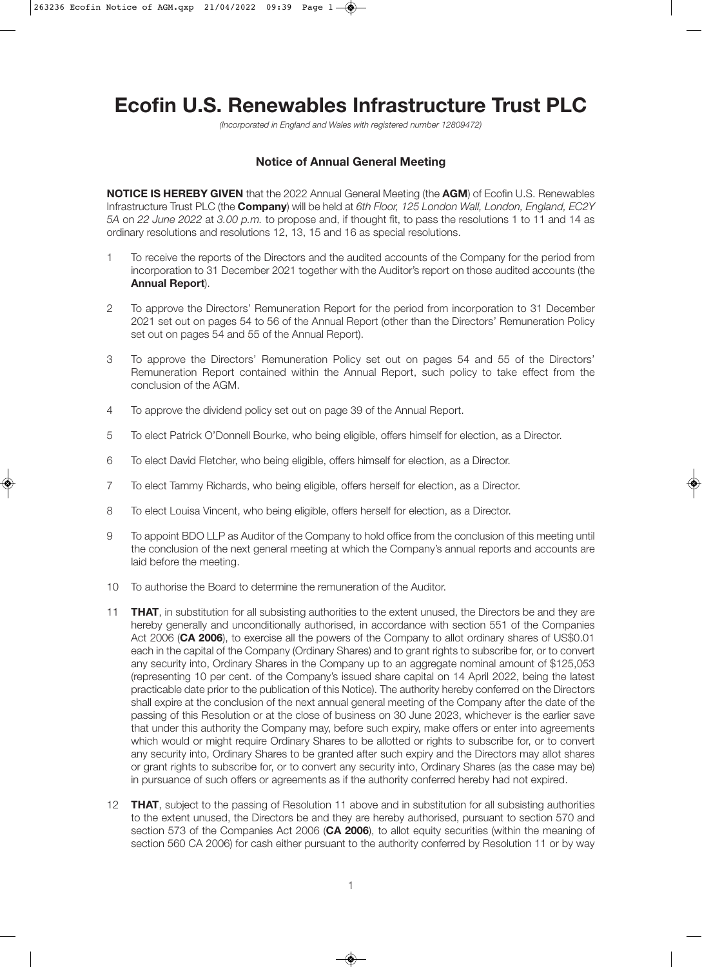# **Ecofin U.S. Renewables Infrastructure Trust PLC**

(Incorporated in England and Wales with registered number 12809472)

## **Notice of Annual General Meeting**

**NOTICE IS HEREBY GIVEN** that the 2022 Annual General Meeting (the **AGM**) of Ecofin U.S. Renewables Infrastructure Trust PLC (the **Company**) will be held at 6th Floor, 125 London Wall, London, England, EC2Y 5A on 22 June 2022 at 3.00 p.m. to propose and, if thought fit, to pass the resolutions 1 to 11 and 14 as ordinary resolutions and resolutions 12, 13, 15 and 16 as special resolutions.

- 1 To receive the reports of the Directors and the audited accounts of the Company for the period from incorporation to 31 December 2021 together with the Auditor's report on those audited accounts (the **Annual Report**).
- 2 To approve the Directors' Remuneration Report for the period from incorporation to 31 December 2021 set out on pages 54 to 56 of the Annual Report (other than the Directors' Remuneration Policy set out on pages 54 and 55 of the Annual Report).
- 3 To approve the Directors' Remuneration Policy set out on pages 54 and 55 of the Directors' Remuneration Report contained within the Annual Report, such policy to take effect from the conclusion of the AGM.
- 4 To approve the dividend policy set out on page 39 of the Annual Report.
- 5 To elect Patrick O'Donnell Bourke, who being eligible, offers himself for election, as a Director.
- 6 To elect David Fletcher, who being eligible, offers himself for election, as a Director.
- 7 To elect Tammy Richards, who being eligible, offers herself for election, as a Director.
- 8 To elect Louisa Vincent, who being eligible, offers herself for election, as a Director.
- 9 To appoint BDO LLP as Auditor of the Company to hold office from the conclusion of this meeting until the conclusion of the next general meeting at which the Company's annual reports and accounts are laid before the meeting.
- 10 To authorise the Board to determine the remuneration of the Auditor.
- 11 **THAT**, in substitution for all subsisting authorities to the extent unused, the Directors be and they are hereby generally and unconditionally authorised, in accordance with section 551 of the Companies Act 2006 (**CA 2006**), to exercise all the powers of the Company to allot ordinary shares of US\$0.01 each in the capital of the Company (Ordinary Shares) and to grant rights to subscribe for, or to convert any security into, Ordinary Shares in the Company up to an aggregate nominal amount of \$125,053 (representing 10 per cent. of the Company's issued share capital on 14 April 2022, being the latest practicable date prior to the publication of this Notice). The authority hereby conferred on the Directors shall expire at the conclusion of the next annual general meeting of the Company after the date of the passing of this Resolution or at the close of business on 30 June 2023, whichever is the earlier save that under this authority the Company may, before such expiry, make offers or enter into agreements which would or might require Ordinary Shares to be allotted or rights to subscribe for, or to convert any security into, Ordinary Shares to be granted after such expiry and the Directors may allot shares or grant rights to subscribe for, or to convert any security into, Ordinary Shares (as the case may be) in pursuance of such offers or agreements as if the authority conferred hereby had not expired.
- 12 **THAT**, subject to the passing of Resolution 11 above and in substitution for all subsisting authorities to the extent unused, the Directors be and they are hereby authorised, pursuant to section 570 and section 573 of the Companies Act 2006 (**CA 2006**), to allot equity securities (within the meaning of section 560 CA 2006) for cash either pursuant to the authority conferred by Resolution 11 or by way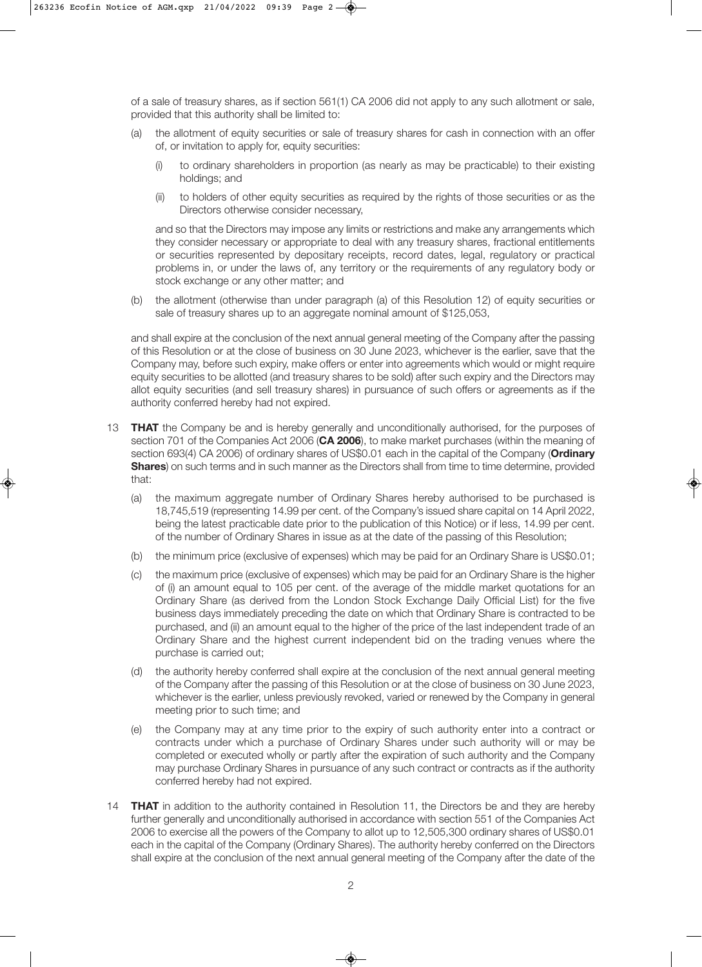of a sale of treasury shares, as if section 561(1) CA 2006 did not apply to any such allotment or sale, provided that this authority shall be limited to:

- (a) the allotment of equity securities or sale of treasury shares for cash in connection with an offer of, or invitation to apply for, equity securities:
	- (i) to ordinary shareholders in proportion (as nearly as may be practicable) to their existing holdings; and
	- (ii) to holders of other equity securities as required by the rights of those securities or as the Directors otherwise consider necessary,

and so that the Directors may impose any limits or restrictions and make any arrangements which they consider necessary or appropriate to deal with any treasury shares, fractional entitlements or securities represented by depositary receipts, record dates, legal, regulatory or practical problems in, or under the laws of, any territory or the requirements of any regulatory body or stock exchange or any other matter; and

(b) the allotment (otherwise than under paragraph (a) of this Resolution 12) of equity securities or sale of treasury shares up to an aggregate nominal amount of \$125,053,

and shall expire at the conclusion of the next annual general meeting of the Company after the passing of this Resolution or at the close of business on 30 June 2023, whichever is the earlier, save that the Company may, before such expiry, make offers or enter into agreements which would or might require equity securities to be allotted (and treasury shares to be sold) after such expiry and the Directors may allot equity securities (and sell treasury shares) in pursuance of such offers or agreements as if the authority conferred hereby had not expired.

- 13 **THAT** the Company be and is hereby generally and unconditionally authorised, for the purposes of section 701 of the Companies Act 2006 (**CA 2006**), to make market purchases (within the meaning of section 693(4) CA 2006) of ordinary shares of US\$0.01 each in the capital of the Company (**Ordinary Shares**) on such terms and in such manner as the Directors shall from time to time determine, provided that:
	- (a) the maximum aggregate number of Ordinary Shares hereby authorised to be purchased is 18,745,519 (representing 14.99 per cent. of the Company's issued share capital on 14 April 2022, being the latest practicable date prior to the publication of this Notice) or if less, 14.99 per cent. of the number of Ordinary Shares in issue as at the date of the passing of this Resolution;
	- (b) the minimum price (exclusive of expenses) which may be paid for an Ordinary Share is US\$0.01;
	- (c) the maximum price (exclusive of expenses) which may be paid for an Ordinary Share is the higher of (i) an amount equal to 105 per cent. of the average of the middle market quotations for an Ordinary Share (as derived from the London Stock Exchange Daily Official List) for the five business days immediately preceding the date on which that Ordinary Share is contracted to be purchased, and (ii) an amount equal to the higher of the price of the last independent trade of an Ordinary Share and the highest current independent bid on the trading venues where the purchase is carried out;
	- (d) the authority hereby conferred shall expire at the conclusion of the next annual general meeting of the Company after the passing of this Resolution or at the close of business on 30 June 2023, whichever is the earlier, unless previously revoked, varied or renewed by the Company in general meeting prior to such time; and
	- (e) the Company may at any time prior to the expiry of such authority enter into a contract or contracts under which a purchase of Ordinary Shares under such authority will or may be completed or executed wholly or partly after the expiration of such authority and the Company may purchase Ordinary Shares in pursuance of any such contract or contracts as if the authority conferred hereby had not expired.
- 14 **THAT** in addition to the authority contained in Resolution 11, the Directors be and they are hereby further generally and unconditionally authorised in accordance with section 551 of the Companies Act 2006 to exercise all the powers of the Company to allot up to 12,505,300 ordinary shares of US\$0.01 each in the capital of the Company (Ordinary Shares). The authority hereby conferred on the Directors shall expire at the conclusion of the next annual general meeting of the Company after the date of the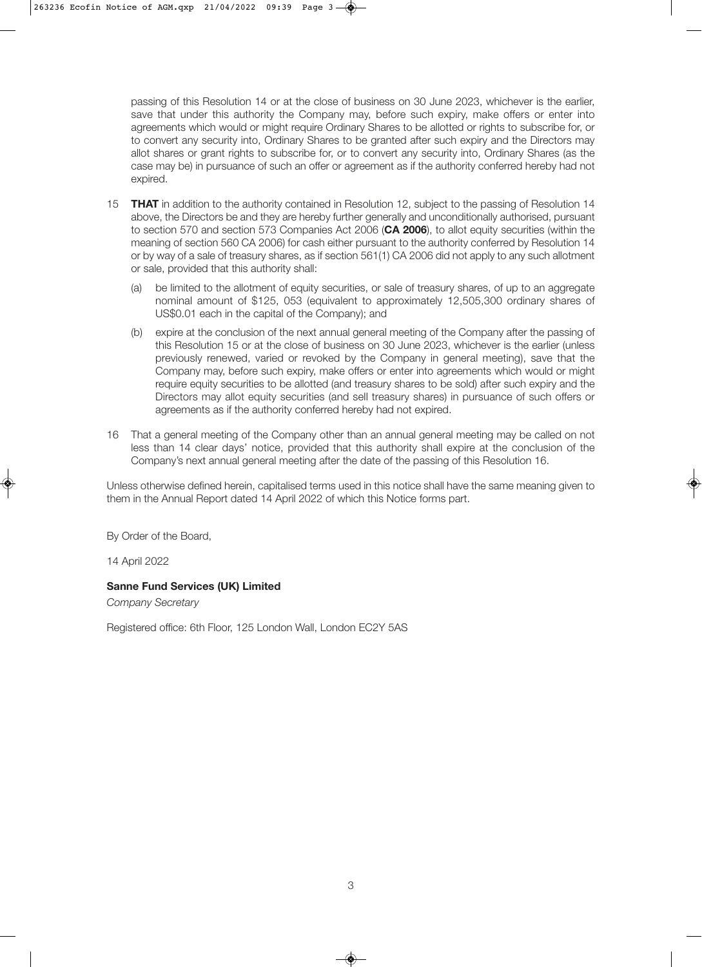passing of this Resolution 14 or at the close of business on 30 June 2023, whichever is the earlier, save that under this authority the Company may, before such expiry, make offers or enter into agreements which would or might require Ordinary Shares to be allotted or rights to subscribe for, or to convert any security into, Ordinary Shares to be granted after such expiry and the Directors may allot shares or grant rights to subscribe for, or to convert any security into, Ordinary Shares (as the case may be) in pursuance of such an offer or agreement as if the authority conferred hereby had not expired.

- 15 **THAT** in addition to the authority contained in Resolution 12, subject to the passing of Resolution 14 above, the Directors be and they are hereby further generally and unconditionally authorised, pursuant to section 570 and section 573 Companies Act 2006 (**CA 2006**), to allot equity securities (within the meaning of section 560 CA 2006) for cash either pursuant to the authority conferred by Resolution 14 or by way of a sale of treasury shares, as if section 561(1) CA 2006 did not apply to any such allotment or sale, provided that this authority shall:
	- (a) be limited to the allotment of equity securities, or sale of treasury shares, of up to an aggregate nominal amount of \$125, 053 (equivalent to approximately 12,505,300 ordinary shares of US\$0.01 each in the capital of the Company); and
	- (b) expire at the conclusion of the next annual general meeting of the Company after the passing of this Resolution 15 or at the close of business on 30 June 2023, whichever is the earlier (unless previously renewed, varied or revoked by the Company in general meeting), save that the Company may, before such expiry, make offers or enter into agreements which would or might require equity securities to be allotted (and treasury shares to be sold) after such expiry and the Directors may allot equity securities (and sell treasury shares) in pursuance of such offers or agreements as if the authority conferred hereby had not expired.
- 16 That a general meeting of the Company other than an annual general meeting may be called on not less than 14 clear days' notice, provided that this authority shall expire at the conclusion of the Company's next annual general meeting after the date of the passing of this Resolution 16.

Unless otherwise defined herein, capitalised terms used in this notice shall have the same meaning given to them in the Annual Report dated 14 April 2022 of which this Notice forms part.

By Order of the Board,

14 April 2022

## **Sanne Fund Services (UK) Limited**

Company Secretary

Registered office: 6th Floor, 125 London Wall, London EC2Y 5AS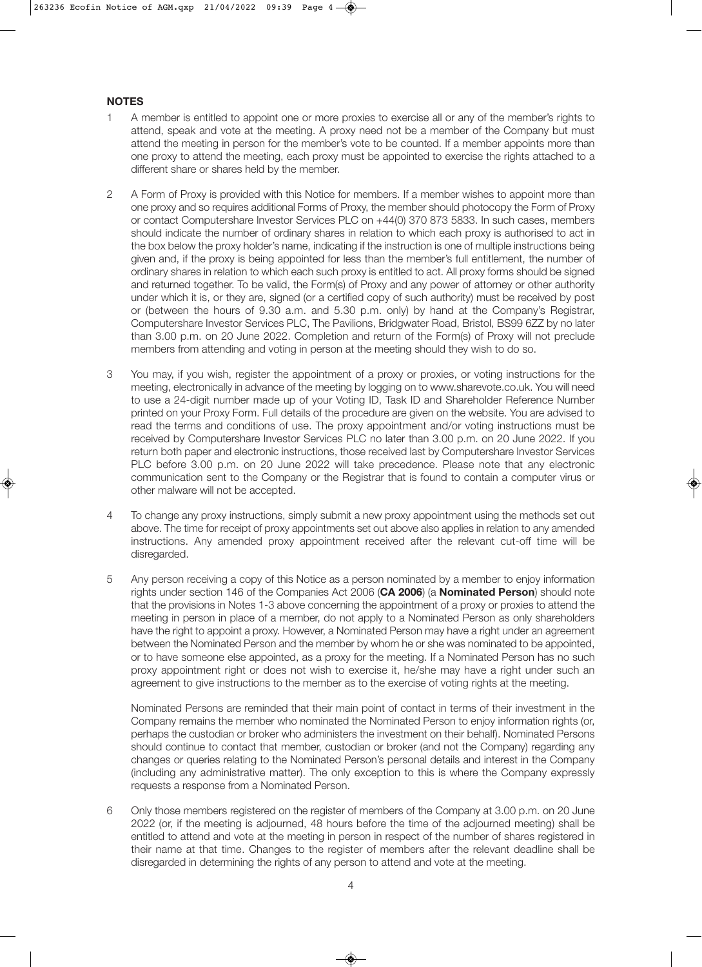## **NOTES**

- 1 A member is entitled to appoint one or more proxies to exercise all or any of the member's rights to attend, speak and vote at the meeting. A proxy need not be a member of the Company but must attend the meeting in person for the member's vote to be counted. If a member appoints more than one proxy to attend the meeting, each proxy must be appointed to exercise the rights attached to a different share or shares held by the member.
- 2 A Form of Proxy is provided with this Notice for members. If a member wishes to appoint more than one proxy and so requires additional Forms of Proxy, the member should photocopy the Form of Proxy or contact Computershare Investor Services PLC on +44(0) 370 873 5833. In such cases, members should indicate the number of ordinary shares in relation to which each proxy is authorised to act in the box below the proxy holder's name, indicating if the instruction is one of multiple instructions being given and, if the proxy is being appointed for less than the member's full entitlement, the number of ordinary shares in relation to which each such proxy is entitled to act. All proxy forms should be signed and returned together. To be valid, the Form(s) of Proxy and any power of attorney or other authority under which it is, or they are, signed (or a certified copy of such authority) must be received by post or (between the hours of 9.30 a.m. and 5.30 p.m. only) by hand at the Company's Registrar, Computershare Investor Services PLC, The Pavilions, Bridgwater Road, Bristol, BS99 6ZZ by no later than 3.00 p.m. on 20 June 2022. Completion and return of the Form(s) of Proxy will not preclude members from attending and voting in person at the meeting should they wish to do so.
- 3 You may, if you wish, register the appointment of a proxy or proxies, or voting instructions for the meeting, electronically in advance of the meeting by logging on to www.sharevote.co.uk. You will need to use a 24-digit number made up of your Voting ID, Task ID and Shareholder Reference Number printed on your Proxy Form. Full details of the procedure are given on the website. You are advised to read the terms and conditions of use. The proxy appointment and/or voting instructions must be received by Computershare Investor Services PLC no later than 3.00 p.m. on 20 June 2022. If you return both paper and electronic instructions, those received last by Computershare Investor Services PLC before 3.00 p.m. on 20 June 2022 will take precedence. Please note that any electronic communication sent to the Company or the Registrar that is found to contain a computer virus or other malware will not be accepted.
- 4 To change any proxy instructions, simply submit a new proxy appointment using the methods set out above. The time for receipt of proxy appointments set out above also applies in relation to any amended instructions. Any amended proxy appointment received after the relevant cut-off time will be disregarded.
- 5 Any person receiving a copy of this Notice as a person nominated by a member to enjoy information rights under section 146 of the Companies Act 2006 (**CA 2006**) (a **Nominated Person**) should note that the provisions in Notes 1-3 above concerning the appointment of a proxy or proxies to attend the meeting in person in place of a member, do not apply to a Nominated Person as only shareholders have the right to appoint a proxy. However, a Nominated Person may have a right under an agreement between the Nominated Person and the member by whom he or she was nominated to be appointed, or to have someone else appointed, as a proxy for the meeting. If a Nominated Person has no such proxy appointment right or does not wish to exercise it, he/she may have a right under such an agreement to give instructions to the member as to the exercise of voting rights at the meeting.

Nominated Persons are reminded that their main point of contact in terms of their investment in the Company remains the member who nominated the Nominated Person to enjoy information rights (or, perhaps the custodian or broker who administers the investment on their behalf). Nominated Persons should continue to contact that member, custodian or broker (and not the Company) regarding any changes or queries relating to the Nominated Person's personal details and interest in the Company (including any administrative matter). The only exception to this is where the Company expressly requests a response from a Nominated Person.

6 Only those members registered on the register of members of the Company at 3.00 p.m. on 20 June 2022 (or, if the meeting is adjourned, 48 hours before the time of the adjourned meeting) shall be entitled to attend and vote at the meeting in person in respect of the number of shares registered in their name at that time. Changes to the register of members after the relevant deadline shall be disregarded in determining the rights of any person to attend and vote at the meeting.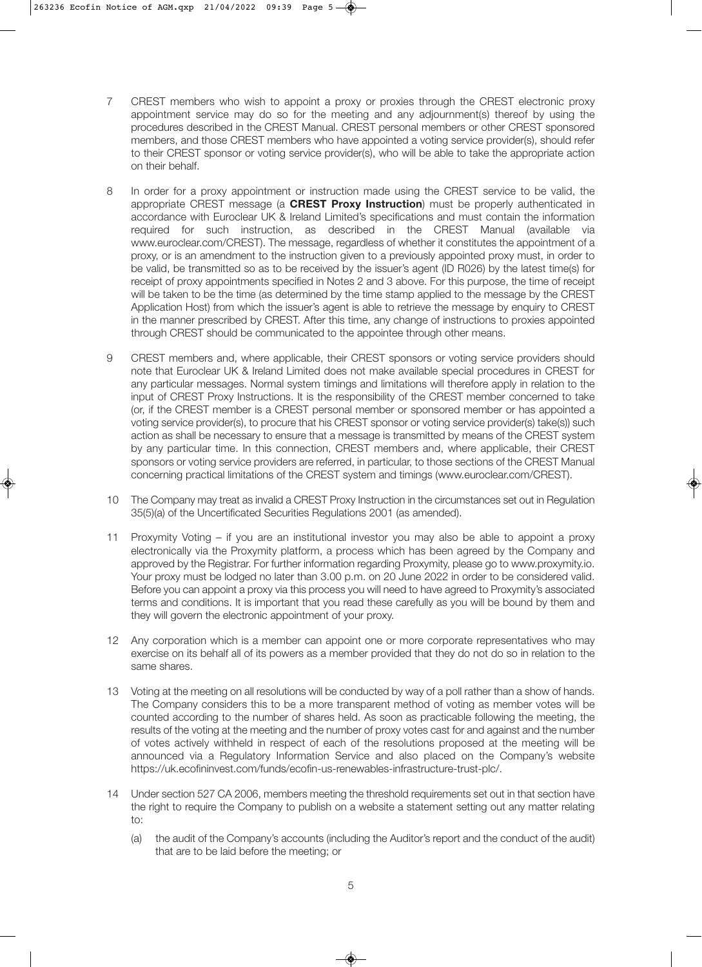- 7 CREST members who wish to appoint a proxy or proxies through the CREST electronic proxy appointment service may do so for the meeting and any adjournment(s) thereof by using the procedures described in the CREST Manual. CREST personal members or other CREST sponsored members, and those CREST members who have appointed a voting service provider(s), should refer to their CREST sponsor or voting service provider(s), who will be able to take the appropriate action on their behalf.
- 8 In order for a proxy appointment or instruction made using the CREST service to be valid, the appropriate CREST message (a **CREST Proxy Instruction**) must be properly authenticated in accordance with Euroclear UK & Ireland Limited's specifications and must contain the information required for such instruction, as described in the CREST Manual (available via www.euroclear.com/CREST). The message, regardless of whether it constitutes the appointment of a proxy, or is an amendment to the instruction given to a previously appointed proxy must, in order to be valid, be transmitted so as to be received by the issuer's agent (ID R026) by the latest time(s) for receipt of proxy appointments specified in Notes 2 and 3 above. For this purpose, the time of receipt will be taken to be the time (as determined by the time stamp applied to the message by the CREST Application Host) from which the issuer's agent is able to retrieve the message by enquiry to CREST in the manner prescribed by CREST. After this time, any change of instructions to proxies appointed through CREST should be communicated to the appointee through other means.
- 9 CREST members and, where applicable, their CREST sponsors or voting service providers should note that Euroclear UK & Ireland Limited does not make available special procedures in CREST for any particular messages. Normal system timings and limitations will therefore apply in relation to the input of CREST Proxy Instructions. It is the responsibility of the CREST member concerned to take (or, if the CREST member is a CREST personal member or sponsored member or has appointed a voting service provider(s), to procure that his CREST sponsor or voting service provider(s) take(s)) such action as shall be necessary to ensure that a message is transmitted by means of the CREST system by any particular time. In this connection, CREST members and, where applicable, their CREST sponsors or voting service providers are referred, in particular, to those sections of the CREST Manual concerning practical limitations of the CREST system and timings (www.euroclear.com/CREST).
- 10 The Company may treat as invalid a CREST Proxy Instruction in the circumstances set out in Regulation 35(5)(a) of the Uncertificated Securities Regulations 2001 (as amended).
- 11 Proxymity Voting if you are an institutional investor you may also be able to appoint a proxy electronically via the Proxymity platform, a process which has been agreed by the Company and approved by the Registrar. For further information regarding Proxymity, please go to www.proxymity.io. Your proxy must be lodged no later than 3.00 p.m. on 20 June 2022 in order to be considered valid. Before you can appoint a proxy via this process you will need to have agreed to Proxymity's associated terms and conditions. It is important that you read these carefully as you will be bound by them and they will govern the electronic appointment of your proxy.
- 12 Any corporation which is a member can appoint one or more corporate representatives who may exercise on its behalf all of its powers as a member provided that they do not do so in relation to the same shares.
- 13 Voting at the meeting on all resolutions will be conducted by way of a poll rather than a show of hands. The Company considers this to be a more transparent method of voting as member votes will be counted according to the number of shares held. As soon as practicable following the meeting, the results of the voting at the meeting and the number of proxy votes cast for and against and the number of votes actively withheld in respect of each of the resolutions proposed at the meeting will be announced via a Regulatory Information Service and also placed on the Company's website https://uk.ecofininvest.com/funds/ecofin-us-renewables-infrastructure-trust-plc/.
- 14 Under section 527 CA 2006, members meeting the threshold requirements set out in that section have the right to require the Company to publish on a website a statement setting out any matter relating to:
	- (a) the audit of the Company's accounts (including the Auditor's report and the conduct of the audit) that are to be laid before the meeting; or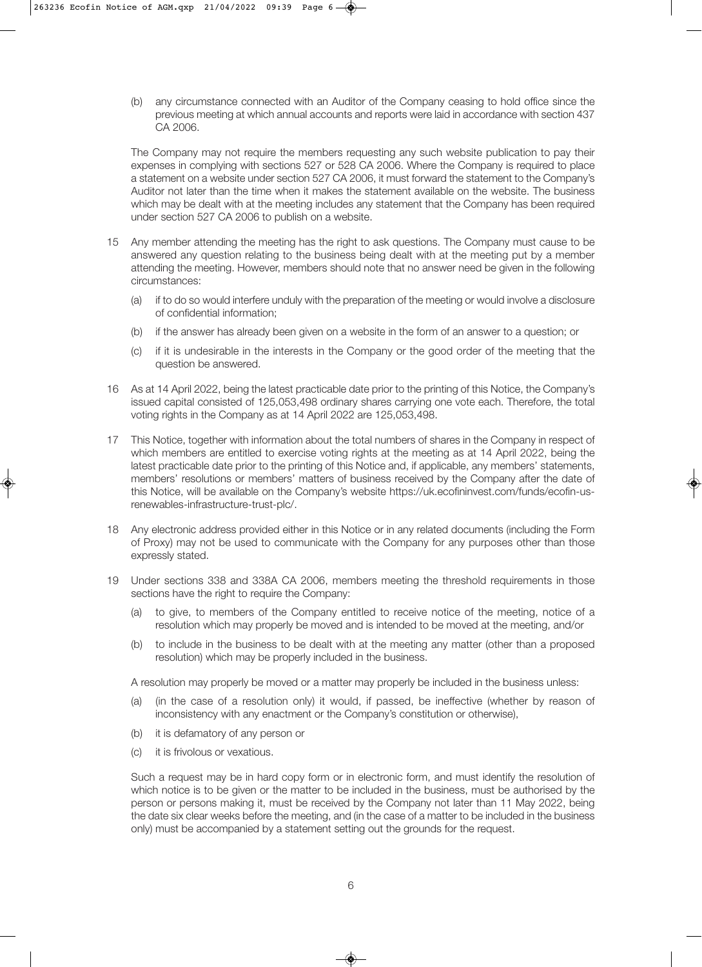(b) any circumstance connected with an Auditor of the Company ceasing to hold office since the previous meeting at which annual accounts and reports were laid in accordance with section 437 CA 2006.

The Company may not require the members requesting any such website publication to pay their expenses in complying with sections 527 or 528 CA 2006. Where the Company is required to place a statement on a website under section 527 CA 2006, it must forward the statement to the Company's Auditor not later than the time when it makes the statement available on the website. The business which may be dealt with at the meeting includes any statement that the Company has been required under section 527 CA 2006 to publish on a website.

- 15 Any member attending the meeting has the right to ask questions. The Company must cause to be answered any question relating to the business being dealt with at the meeting put by a member attending the meeting. However, members should note that no answer need be given in the following circumstances:
	- (a) if to do so would interfere unduly with the preparation of the meeting or would involve a disclosure of confidential information;
	- (b) if the answer has already been given on a website in the form of an answer to a question; or
	- (c) if it is undesirable in the interests in the Company or the good order of the meeting that the question be answered.
- 16 As at 14 April 2022, being the latest practicable date prior to the printing of this Notice, the Company's issued capital consisted of 125,053,498 ordinary shares carrying one vote each. Therefore, the total voting rights in the Company as at 14 April 2022 are 125,053,498.
- 17 This Notice, together with information about the total numbers of shares in the Company in respect of which members are entitled to exercise voting rights at the meeting as at 14 April 2022, being the latest practicable date prior to the printing of this Notice and, if applicable, any members' statements, members' resolutions or members' matters of business received by the Company after the date of this Notice, will be available on the Company's website https://uk.ecofininvest.com/funds/ecofin-usrenewables-infrastructure-trust-plc/.
- 18 Any electronic address provided either in this Notice or in any related documents (including the Form of Proxy) may not be used to communicate with the Company for any purposes other than those expressly stated.
- 19 Under sections 338 and 338A CA 2006, members meeting the threshold requirements in those sections have the right to require the Company:
	- (a) to give, to members of the Company entitled to receive notice of the meeting, notice of a resolution which may properly be moved and is intended to be moved at the meeting, and/or
	- (b) to include in the business to be dealt with at the meeting any matter (other than a proposed resolution) which may be properly included in the business.

A resolution may properly be moved or a matter may properly be included in the business unless:

- (a) (in the case of a resolution only) it would, if passed, be ineffective (whether by reason of inconsistency with any enactment or the Company's constitution or otherwise),
- (b) it is defamatory of any person or
- (c) it is frivolous or vexatious.

Such a request may be in hard copy form or in electronic form, and must identify the resolution of which notice is to be given or the matter to be included in the business, must be authorised by the person or persons making it, must be received by the Company not later than 11 May 2022, being the date six clear weeks before the meeting, and (in the case of a matter to be included in the business only) must be accompanied by a statement setting out the grounds for the request.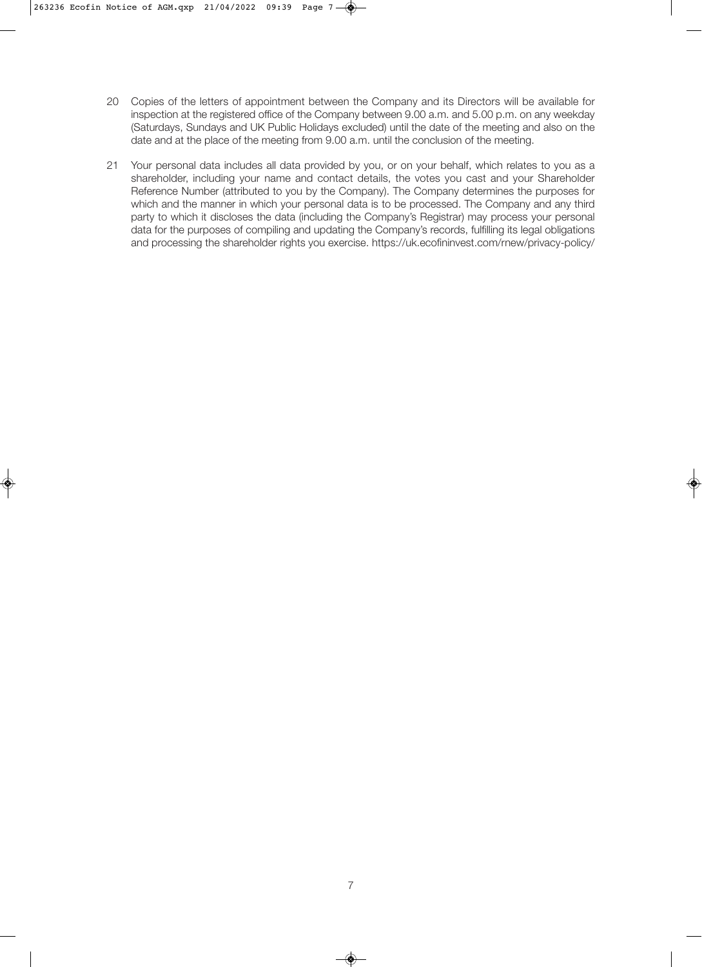- 20 Copies of the letters of appointment between the Company and its Directors will be available for inspection at the registered office of the Company between 9.00 a.m. and 5.00 p.m. on any weekday (Saturdays, Sundays and UK Public Holidays excluded) until the date of the meeting and also on the date and at the place of the meeting from 9.00 a.m. until the conclusion of the meeting.
- 21 Your personal data includes all data provided by you, or on your behalf, which relates to you as a shareholder, including your name and contact details, the votes you cast and your Shareholder Reference Number (attributed to you by the Company). The Company determines the purposes for which and the manner in which your personal data is to be processed. The Company and any third party to which it discloses the data (including the Company's Registrar) may process your personal data for the purposes of compiling and updating the Company's records, fulfilling its legal obligations and processing the shareholder rights you exercise. https://uk.ecofininvest.com/rnew/privacy-policy/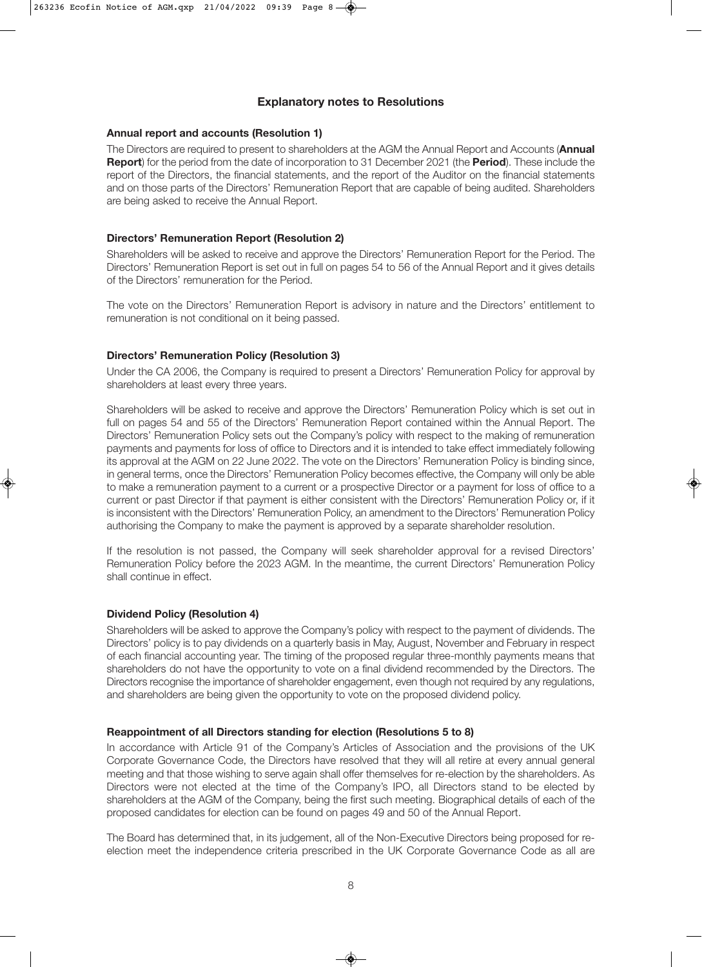# **Explanatory notes to Resolutions**

#### **Annual report and accounts (Resolution 1)**

The Directors are required to present to shareholders at the AGM the Annual Report and Accounts (**Annual Report**) for the period from the date of incorporation to 31 December 2021 (the **Period**). These include the report of the Directors, the financial statements, and the report of the Auditor on the financial statements and on those parts of the Directors' Remuneration Report that are capable of being audited. Shareholders are being asked to receive the Annual Report.

#### **Directors' Remuneration Report (Resolution 2)**

Shareholders will be asked to receive and approve the Directors' Remuneration Report for the Period. The Directors' Remuneration Report is set out in full on pages 54 to 56 of the Annual Report and it gives details of the Directors' remuneration for the Period.

The vote on the Directors' Remuneration Report is advisory in nature and the Directors' entitlement to remuneration is not conditional on it being passed.

## **Directors' Remuneration Policy (Resolution 3)**

Under the CA 2006, the Company is required to present a Directors' Remuneration Policy for approval by shareholders at least every three years.

Shareholders will be asked to receive and approve the Directors' Remuneration Policy which is set out in full on pages 54 and 55 of the Directors' Remuneration Report contained within the Annual Report. The Directors' Remuneration Policy sets out the Company's policy with respect to the making of remuneration payments and payments for loss of office to Directors and it is intended to take effect immediately following its approval at the AGM on 22 June 2022. The vote on the Directors' Remuneration Policy is binding since, in general terms, once the Directors' Remuneration Policy becomes effective, the Company will only be able to make a remuneration payment to a current or a prospective Director or a payment for loss of office to a current or past Director if that payment is either consistent with the Directors' Remuneration Policy or, if it is inconsistent with the Directors' Remuneration Policy, an amendment to the Directors' Remuneration Policy authorising the Company to make the payment is approved by a separate shareholder resolution.

If the resolution is not passed, the Company will seek shareholder approval for a revised Directors' Remuneration Policy before the 2023 AGM. In the meantime, the current Directors' Remuneration Policy shall continue in effect.

## **Dividend Policy (Resolution 4)**

Shareholders will be asked to approve the Company's policy with respect to the payment of dividends. The Directors' policy is to pay dividends on a quarterly basis in May, August, November and February in respect of each financial accounting year. The timing of the proposed regular three-monthly payments means that shareholders do not have the opportunity to vote on a final dividend recommended by the Directors. The Directors recognise the importance of shareholder engagement, even though not required by any regulations, and shareholders are being given the opportunity to vote on the proposed dividend policy.

## **Reappointment of all Directors standing for election (Resolutions 5 to 8)**

In accordance with Article 91 of the Company's Articles of Association and the provisions of the UK Corporate Governance Code, the Directors have resolved that they will all retire at every annual general meeting and that those wishing to serve again shall offer themselves for re-election by the shareholders. As Directors were not elected at the time of the Company's IPO, all Directors stand to be elected by shareholders at the AGM of the Company, being the first such meeting. Biographical details of each of the proposed candidates for election can be found on pages 49 and 50 of the Annual Report.

The Board has determined that, in its judgement, all of the Non-Executive Directors being proposed for reelection meet the independence criteria prescribed in the UK Corporate Governance Code as all are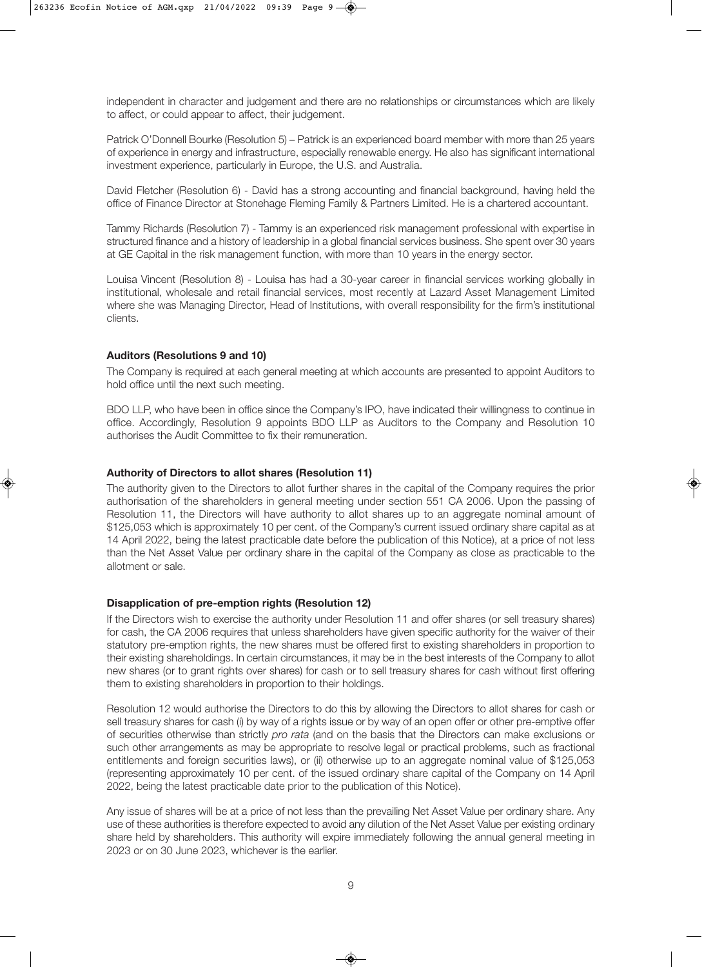independent in character and judgement and there are no relationships or circumstances which are likely to affect, or could appear to affect, their judgement.

Patrick O'Donnell Bourke (Resolution 5) – Patrick is an experienced board member with more than 25 years of experience in energy and infrastructure, especially renewable energy. He also has significant international investment experience, particularly in Europe, the U.S. and Australia.

David Fletcher (Resolution 6) - David has a strong accounting and financial background, having held the office of Finance Director at Stonehage Fleming Family & Partners Limited. He is a chartered accountant.

Tammy Richards (Resolution 7) - Tammy is an experienced risk management professional with expertise in structured finance and a history of leadership in a global financial services business. She spent over 30 years at GE Capital in the risk management function, with more than 10 years in the energy sector.

Louisa Vincent (Resolution 8) - Louisa has had a 30-year career in financial services working globally in institutional, wholesale and retail financial services, most recently at Lazard Asset Management Limited where she was Managing Director, Head of Institutions, with overall responsibility for the firm's institutional clients.

#### **Auditors (Resolutions 9 and 10)**

The Company is required at each general meeting at which accounts are presented to appoint Auditors to hold office until the next such meeting.

BDO LLP, who have been in office since the Company's IPO, have indicated their willingness to continue in office. Accordingly, Resolution 9 appoints BDO LLP as Auditors to the Company and Resolution 10 authorises the Audit Committee to fix their remuneration.

#### **Authority of Directors to allot shares (Resolution 11)**

The authority given to the Directors to allot further shares in the capital of the Company requires the prior authorisation of the shareholders in general meeting under section 551 CA 2006. Upon the passing of Resolution 11, the Directors will have authority to allot shares up to an aggregate nominal amount of \$125,053 which is approximately 10 per cent. of the Company's current issued ordinary share capital as at 14 April 2022, being the latest practicable date before the publication of this Notice), at a price of not less than the Net Asset Value per ordinary share in the capital of the Company as close as practicable to the allotment or sale.

## **Disapplication of pre-emption rights (Resolution 12)**

If the Directors wish to exercise the authority under Resolution 11 and offer shares (or sell treasury shares) for cash, the CA 2006 requires that unless shareholders have given specific authority for the waiver of their statutory pre-emption rights, the new shares must be offered first to existing shareholders in proportion to their existing shareholdings. In certain circumstances, it may be in the best interests of the Company to allot new shares (or to grant rights over shares) for cash or to sell treasury shares for cash without first offering them to existing shareholders in proportion to their holdings.

Resolution 12 would authorise the Directors to do this by allowing the Directors to allot shares for cash or sell treasury shares for cash (i) by way of a rights issue or by way of an open offer or other pre-emptive offer of securities otherwise than strictly pro rata (and on the basis that the Directors can make exclusions or such other arrangements as may be appropriate to resolve legal or practical problems, such as fractional entitlements and foreign securities laws), or (ii) otherwise up to an aggregate nominal value of \$125,053 (representing approximately 10 per cent. of the issued ordinary share capital of the Company on 14 April 2022, being the latest practicable date prior to the publication of this Notice).

Any issue of shares will be at a price of not less than the prevailing Net Asset Value per ordinary share. Any use of these authorities is therefore expected to avoid any dilution of the Net Asset Value per existing ordinary share held by shareholders. This authority will expire immediately following the annual general meeting in 2023 or on 30 June 2023, whichever is the earlier.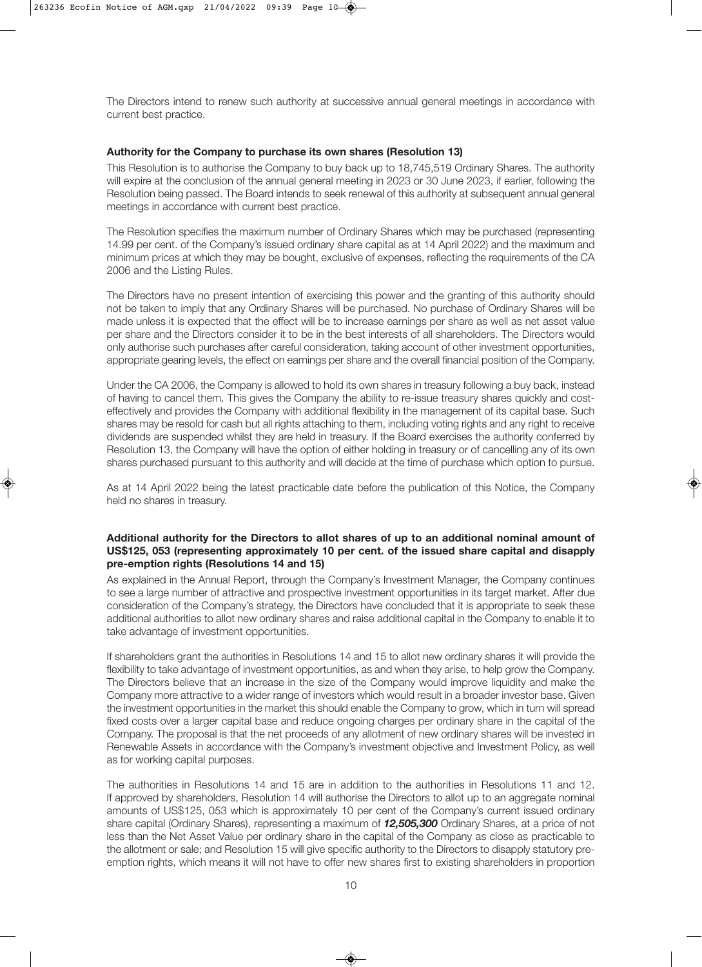The Directors intend to renew such authority at successive annual general meetings in accordance with current best practice.

#### **Authority for the Company to purchase its own shares (Resolution 13)**

This Resolution is to authorise the Company to buy back up to 18,745,519 Ordinary Shares. The authority will expire at the conclusion of the annual general meeting in 2023 or 30 June 2023, if earlier, following the Resolution being passed. The Board intends to seek renewal of this authority at subsequent annual general meetings in accordance with current best practice.

The Resolution specifies the maximum number of Ordinary Shares which may be purchased (representing 14.99 per cent. of the Company's issued ordinary share capital as at 14 April 2022) and the maximum and minimum prices at which they may be bought, exclusive of expenses, reflecting the requirements of the CA 2006 and the Listing Rules.

The Directors have no present intention of exercising this power and the granting of this authority should not be taken to imply that any Ordinary Shares will be purchased. No purchase of Ordinary Shares will be made unless it is expected that the effect will be to increase earnings per share as well as net asset value per share and the Directors consider it to be in the best interests of all shareholders. The Directors would only authorise such purchases after careful consideration, taking account of other investment opportunities, appropriate gearing levels, the effect on earnings per share and the overall financial position of the Company.

Under the CA 2006, the Company is allowed to hold its own shares in treasury following a buy back, instead of having to cancel them. This gives the Company the ability to re-issue treasury shares quickly and costeffectively and provides the Company with additional flexibility in the management of its capital base. Such shares may be resold for cash but all rights attaching to them, including voting rights and any right to receive dividends are suspended whilst they are held in treasury. If the Board exercises the authority conferred by Resolution 13, the Company will have the option of either holding in treasury or of cancelling any of its own shares purchased pursuant to this authority and will decide at the time of purchase which option to pursue.

As at 14 April 2022 being the latest practicable date before the publication of this Notice, the Company held no shares in treasury.

#### **Additional authority for the Directors to allot shares of up to an additional nominal amount of US\$125, 053 (representing approximately 10 per cent. of the issued share capital and disapply pre-emption rights (Resolutions 14 and 15)**

As explained in the Annual Report, through the Company's Investment Manager, the Company continues to see a large number of attractive and prospective investment opportunities in its target market. After due consideration of the Company's strategy, the Directors have concluded that it is appropriate to seek these additional authorities to allot new ordinary shares and raise additional capital in the Company to enable it to take advantage of investment opportunities.

If shareholders grant the authorities in Resolutions 14 and 15 to allot new ordinary shares it will provide the flexibility to take advantage of investment opportunities, as and when they arise, to help grow the Company. The Directors believe that an increase in the size of the Company would improve liquidity and make the Company more attractive to a wider range of investors which would result in a broader investor base. Given the investment opportunities in the market this should enable the Company to grow, which in turn will spread fixed costs over a larger capital base and reduce ongoing charges per ordinary share in the capital of the Company. The proposal is that the net proceeds of any allotment of new ordinary shares will be invested in Renewable Assets in accordance with the Company's investment objective and Investment Policy, as well as for working capital purposes.

The authorities in Resolutions 14 and 15 are in addition to the authorities in Resolutions 11 and 12. If approved by shareholders, Resolution 14 will authorise the Directors to allot up to an aggregate nominal amounts of US\$125, 053 which is approximately 10 per cent of the Company's current issued ordinary share capital (Ordinary Shares), representing a maximum of *12,505,300* Ordinary Shares, at a price of not less than the Net Asset Value per ordinary share in the capital of the Company as close as practicable to the allotment or sale; and Resolution 15 will give specific authority to the Directors to disapply statutory preemption rights, which means it will not have to offer new shares first to existing shareholders in proportion